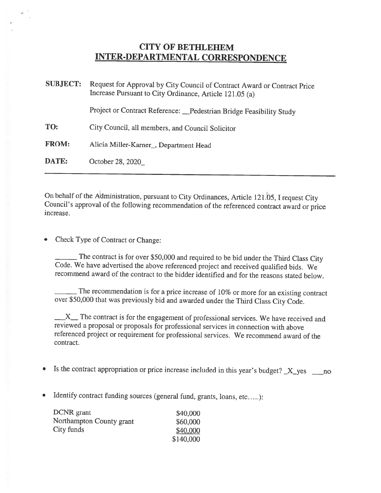## CITY OF BETHLEHEM INTER-DEPARTMENTAL CORRESPONDENCE

| <b>SUBJECT:</b> | Request for Approval by City Council of Contract Award or Contract Price<br>Increase Pursuant to City Ordinance, Article 121.05 (a) |  |
|-----------------|-------------------------------------------------------------------------------------------------------------------------------------|--|
|                 | Project or Contract Reference: Pedestrian Bridge Feasibility Study                                                                  |  |
| TO:             | City Council, all members, and Council Solicitor                                                                                    |  |
| <b>FROM:</b>    | Alicia Miller-Karner <sub>, Department Head</sub>                                                                                   |  |
| DATE:           | October 28, 2020                                                                                                                    |  |

On behalf of the Administration, pursuant to City Ordinances, Article 121.05, I request City Council's approval of the following recommendation of the referenced contract award or price increase.

Check Type of Contract or Change:

The contract is for over \$50,000 and required to be bid under the Third Class City Code. We have advertised the above referenced project and received qualified bids. We recommend award of the contract to the bidder identified and for the reasons stated below.

The recommendation is for <sup>a</sup> price increase of 10% or more for an existing contract over \$50,000 that was previously bid and awarded under the Third Class City Code.

 $X$ <sub>I</sub> The contract is for the engagement of professional services. We have received and reviewed <sup>a</sup> proposal or proposals for professional services in connection with above referenced project or requirement for professional services. We recommend award of the contract.

- •Is the contract appropriation or price increase included in this year's budget?  $X_y$ yes  $\ldots$ no
- Identify contract funding sources (general fund, grants, loans, etc.....):

| DCNR grant               | \$40,000  |
|--------------------------|-----------|
| Northampton County grant | \$60,000  |
| City funds               | \$40,000  |
|                          | \$140,000 |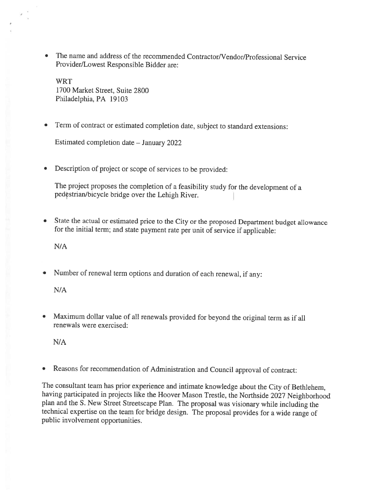• The name and address of the recommended Contractor/Vendor/Professional Service Provider/Lowest Responsible Bidder are:

WRT 1700 Market Street, Suite 2800 Philadelphia, PA 19103

•Term of contract or estimated completion date, subject to standard extensions:

Estimated completion date — January 2022

•Description of project or scope of services to be provided:

The project proposes the completion of <sup>a</sup> feasibility study for the development of <sup>a</sup> pedçstrian/bicycle bridge over the Lehigh River.

• State the actual or estimated price to the City or the proposed Department budget allowance for the initial term; and state payment rate per unit of service if applicable:

N/A

•Number of renewal term options and duration of each renewal, if any:

N/A

• Maximum dollar value of all renewals provided for beyond the original term as if all renewals were exercised:

N/A

Reasons for recommendation of Administration and Council approval of contract:

The consultant team has prior experience and intimate knowledge about the City of Bethlehem, having participated in projects like the Hoover Mason Trestle, the Northside <sup>2027</sup> Neighborhood <sup>p</sup>lan and the S. New Street Streetscape Plan. The proposal was visionary while including the technical expertise on the team for bridge design. The proposal provides for <sup>a</sup> wide range of public involvement opportunities.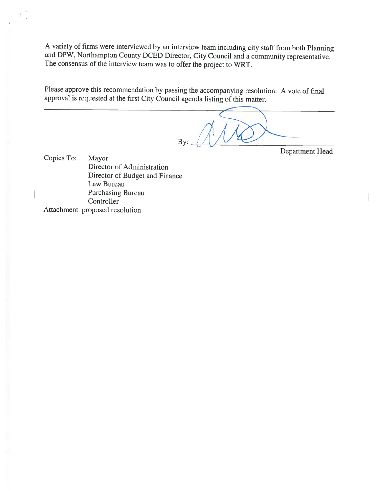<sup>A</sup> variety of firms were interviewed by an interview team including city staff from both Planning and DPW, Northampton County DCED Director, City Council and <sup>a</sup> community representative. The consensus of the interview team was to offer the project to WRT.

Please approve this recommendation by passing the accompanying resolution. A vote of final approval is requested at the first City Council agenda listing of this matter.

By:  $\bigcup$   $\bigcup$   $\bigcup$   $\bigcup$   $\bigcup$   $\bigcup$   $\bigcup$   $\bigcup$   $\bigcup$   $\bigcup$   $\bigcup$   $\bigcup$   $\bigcup$   $\bigcup$   $\bigcup$   $\bigcup$   $\bigcup$   $\bigcup$   $\bigcup$   $\bigcup$   $\bigcup$   $\bigcup$   $\bigcup$   $\bigcup$   $\bigcup$   $\bigcup$   $\bigcup$   $\bigcup$   $\bigcup$   $\bigcup$   $\bigcup$   $\bigcup$   $\bigcup$   $\bigcup$   $\bigcup$   $\bigcup$ 

Department Head

Copies To: Mayor Director of Administration Director of Budget and Finance Law Bureau Purchasing Bureau<br>Controller

Attachment: proposed resolution